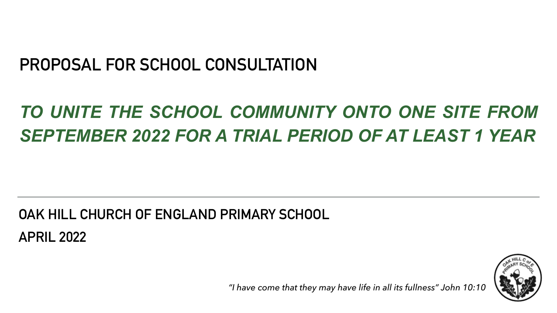## **PROPOSAL FOR SCHOOL CONSULTATION**

# *TO UNITE THE SCHOOL COMMUNITY ONTO ONE SITE FROM SEPTEMBER 2022 FOR A TRIAL PERIOD OF AT LEAST 1 YEAR*

## **OAK HILL CHURCH OF ENGLAND PRIMARY SCHOOL APRIL 2022**



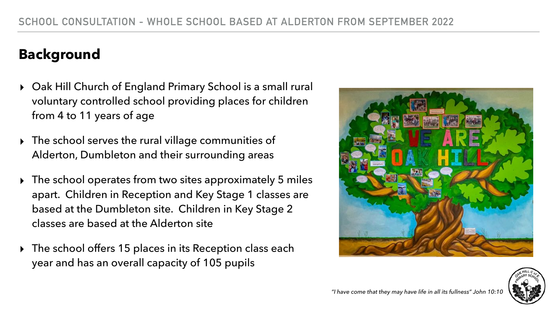### **Background**

- ▸ Oak Hill Church of England Primary School is a small rural voluntary controlled school providing places for children from 4 to 11 years of age
- ▸ The school serves the rural village communities of Alderton, Dumbleton and their surrounding areas
- ▸ The school operates from two sites approximately 5 miles apart. Children in Reception and Key Stage 1 classes are based at the Dumbleton site. Children in Key Stage 2 classes are based at the Alderton site
- ▸ The school offers 15 places in its Reception class each year and has an overall capacity of 105 pupils



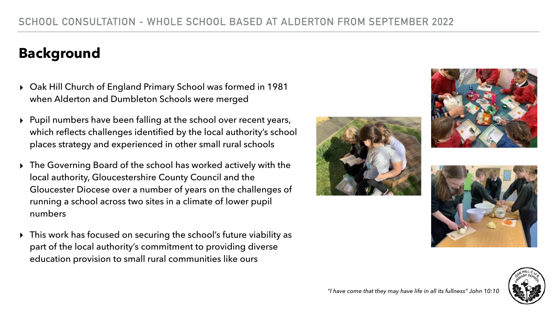### **Background**

- ▸ Oak Hill Church of England Primary School was formed in 1981 when Alderton and Dumbleton Schools were merged
- ▸ Pupil numbers have been falling at the school over recent years, which reflects challenges identified by the local authority's school places strategy and experienced in other small rural schools
- ▸ The Governing Board of the school has worked actively with the local authority, Gloucestershire County Council and the Gloucester Diocese over a number of years on the challenges of running a school across two sites in a climate of lower pupil numbers
- ▸ This work has focused on securing the school's future viability as part of the local authority's commitment to providing diverse education provision to small rural communities like ours









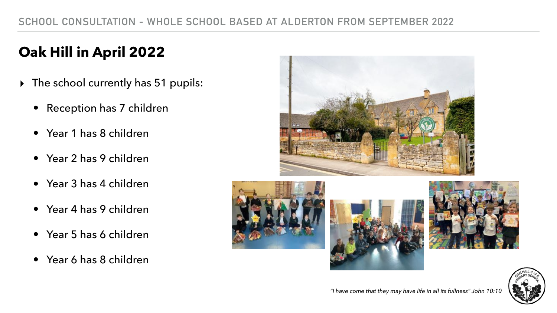## **Oak Hill in April 2022**

- ▸ The school currently has 51 pupils:
	- Reception has 7 children
	- Year 1 has 8 children
	- Year 2 has 9 children
	- Year 3 has 4 children
	- Year 4 has 9 children
	- Year 5 has 6 children
	- Year 6 has 8 children









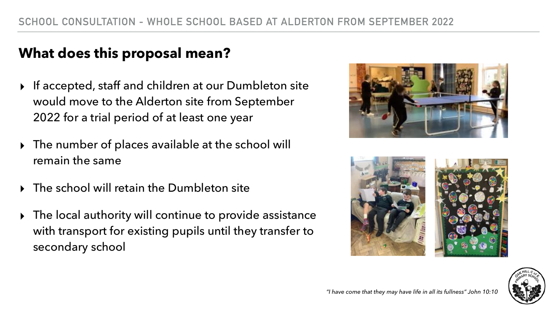### **What does this proposal mean?**

- ▸ If accepted, staff and children at our Dumbleton site would move to the Alderton site from September 2022 for a trial period of at least one year
- ▸ The number of places available at the school will remain the same
- ▸ The school will retain the Dumbleton site
- ▸ The local authority will continue to provide assistance with transport for existing pupils until they transfer to secondary school







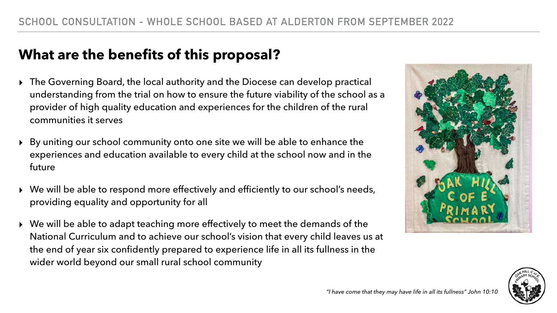- ▸ The Governing Board, the local authority and the Diocese can develop practical understanding from the trial on how to ensure the future viability of the school as a provider of high quality education and experiences for the children of the rural communities it serves
- ▸ By uniting our school community onto one site we will be able to enhance the experiences and education available to every child at the school now and in the future
- ▸ We will be able to respond more effectively and efficiently to our school's needs, providing equality and opportunity for all
- ▸ We will be able to adapt teaching more effectively to meet the demands of the National Curriculum and to achieve our school's vision that every child leaves us at the end of year six confidently prepared to experience life in all its fullness in the wider world beyond our small rural school community





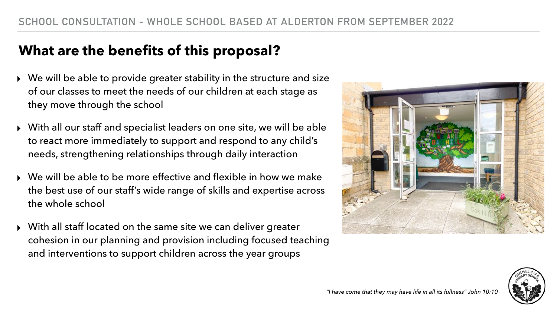- We will be able to provide greater stability in the structure and size of our classes to meet the needs of our children at each stage as they move through the school
- ▸ With all our staff and specialist leaders on one site, we will be able to react more immediately to support and respond to any child's needs, strengthening relationships through daily interaction
- We will be able to be more effective and flexible in how we make the best use of our staff's wide range of skills and expertise across the whole school
- ▸ With all staff located on the same site we can deliver greater cohesion in our planning and provision including focused teaching and interventions to support children across the year groups



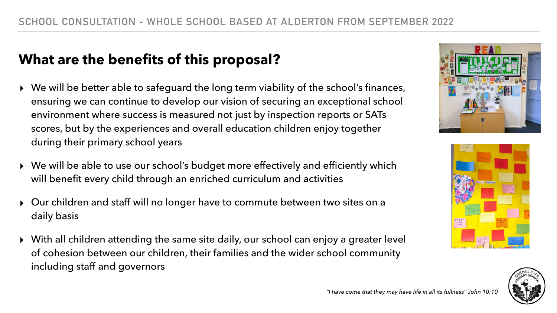- ▸ We will be better able to safeguard the long term viability of the school's finances, ensuring we can continue to develop our vision of securing an exceptional school environment where success is measured not just by inspection reports or SATs scores, but by the experiences and overall education children enjoy together during their primary school years
- ▸ We will be able to use our school's budget more effectively and efficiently which will benefit every child through an enriched curriculum and activities
- ▸ Our children and staff will no longer have to commute between two sites on a daily basis
- ▸ With all children attending the same site daily, our school can enjoy a greater level of cohesion between our children, their families and the wider school community including staff and governors







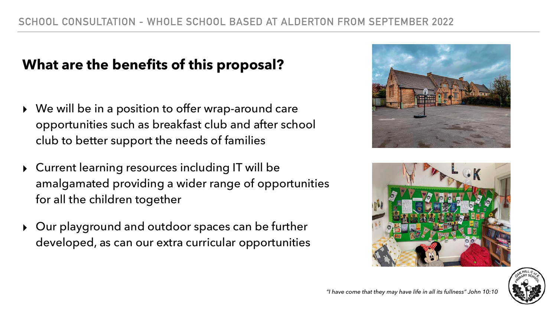- ▸ We will be in a position to offer wrap-around care opportunities such as breakfast club and after school club to better support the needs of families
- ▸ Current learning resources including IT will be amalgamated providing a wider range of opportunities for all the children together
- ▸ Our playground and outdoor spaces can be further developed, as can our extra curricular opportunities





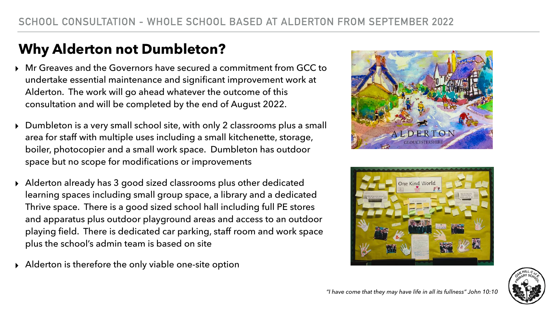### **Why Alderton not Dumbleton?**

- ▸ Mr Greaves and the Governors have secured a commitment from GCC to undertake essential maintenance and significant improvement work at Alderton. The work will go ahead whatever the outcome of this consultation and will be completed by the end of August 2022.
- ▸ Dumbleton is a very small school site, with only 2 classrooms plus a small area for staff with multiple uses including a small kitchenette, storage, boiler, photocopier and a small work space. Dumbleton has outdoor space but no scope for modifications or improvements
- ▸ Alderton already has 3 good sized classrooms plus other dedicated learning spaces including small group space, a library and a dedicated Thrive space. There is a good sized school hall including full PE stores and apparatus plus outdoor playground areas and access to an outdoor playing field. There is dedicated car parking, staff room and work space plus the school's admin team is based on site
- ▸ Alderton is therefore the only viable one-site option





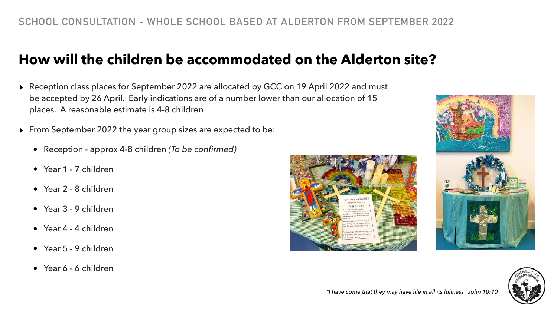- ▸ Reception class places for September 2022 are allocated by GCC on 19 April 2022 and must be accepted by 26 April. Early indications are of a number lower than our allocation of 15 places. A reasonable estimate is 4-8 children
- ▸ From September 2022 the year group sizes are expected to be:
	- Reception approx 4-8 children *(To be confirmed)*
	- Year 1 7 children
	- Year 2 8 children
	- Year 3 9 children
	- Year 4 4 children
	- Year 5 9 children
	- Year 6 6 children







### **How will the children be accommodated on the Alderton site?**

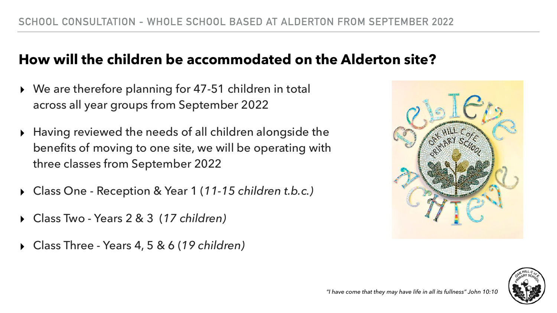### **How will the children be accommodated on the Alderton site?**

- ▸ We are therefore planning for 47-51 children in total across all year groups from September 2022
- ▸ Having reviewed the needs of all children alongside the benefits of moving to one site, we will be operating with three classes from September 2022
- ▸ Class One Reception & Year 1 (*11-15 children t.b.c.)*
- ▸ Class Two Years 2 & 3 (*17 children)*
- ▸ Class Three Years 4, 5 & 6 (*19 children)*



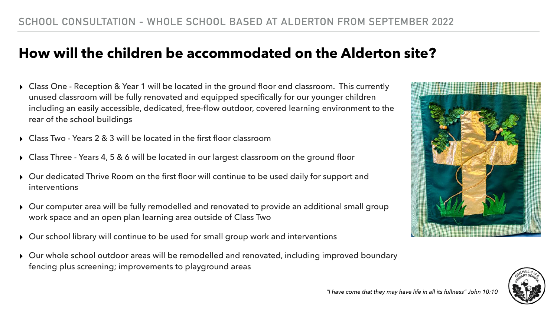### **How will the children be accommodated on the Alderton site?**

- ▸ Class One Reception & Year 1 will be located in the ground floor end classroom. This currently unused classroom will be fully renovated and equipped specifically for our younger children including an easily accessible, dedicated, free-flow outdoor, covered learning environment to the rear of the school buildings
- ▸ Class Two Years 2 & 3 will be located in the first floor classroom
- ▸ Class Three Years 4, 5 & 6 will be located in our largest classroom on the ground floor
- ▸ Our dedicated Thrive Room on the first floor will continue to be used daily for support and interventions
- ▸ Our computer area will be fully remodelled and renovated to provide an additional small group work space and an open plan learning area outside of Class Two
- ▸ Our school library will continue to be used for small group work and interventions
- ▸ Our whole school outdoor areas will be remodelled and renovated, including improved boundary fencing plus screening; improvements to playground areas



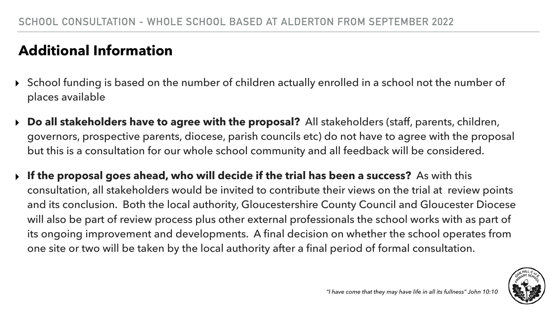### **Additional Information**

governors, prospective parents, diocese, parish councils etc) do not have to agree with the proposal

- ▸ School funding is based on the number of children actually enrolled in a school not the number of places available
- ▸ **Do all stakeholders have to agree with the proposal?** All stakeholders (staff, parents, children, but this is a consultation for our whole school community and all feedback will be considered.
- ▸ **If the proposal goes ahead, who will decide if the trial has been a success?** As with this one site or two will be taken by the local authority after a final period of formal consultation.

consultation, all stakeholders would be invited to contribute their views on the trial at review points and its conclusion. Both the local authority, Gloucestershire County Council and Gloucester Diocese will also be part of review process plus other external professionals the school works with as part of its ongoing improvement and developments. A final decision on whether the school operates from

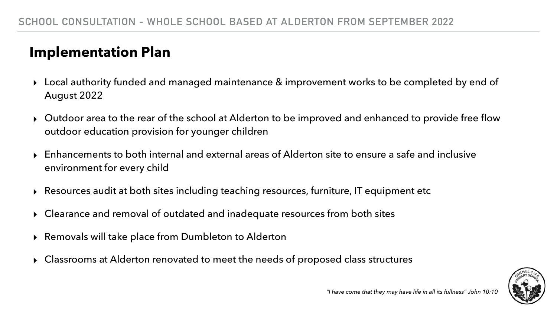### **Implementation Plan**

- ▸ Local authority funded and managed maintenance & improvement works to be completed by end of August 2022
- ▸ Outdoor area to the rear of the school at Alderton to be improved and enhanced to provide free flow outdoor education provision for younger children
- ▸ Enhancements to both internal and external areas of Alderton site to ensure a safe and inclusive environment for every child
- ▸ Resources audit at both sites including teaching resources, furniture, IT equipment etc
- ▸ Clearance and removal of outdated and inadequate resources from both sites
- ▸ Removals will take place from Dumbleton to Alderton
- ▸ Classrooms at Alderton renovated to meet the needs of proposed class structures

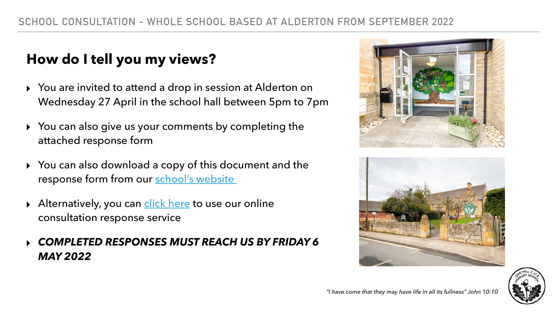### **How do I tell you my views?**

- ▸ You are invited to attend a drop in session at Alderton on Wednesday 27 April in the school hall between 5pm to 7pm
- ▸ You can also give us your comments by completing the attached response form
- ▸ You can also download a copy of this document and the response form from our [school's website](http://www.oakhill.gloucs.sch.uk/)
- ▶ Alternatively, you can [click here](https://docs.google.com/forms/d/e/1FAIpQLSeR99MwtYgPxmTgOeT0hQ0wSTuQEOy4GXTX1cR6OeObjlnR2Q/viewform?usp=sf_link) to use our online consultation response service

### ▸ *COMPLETED RESPONSES MUST REACH US BY FRIDAY 6 MAY 2022*





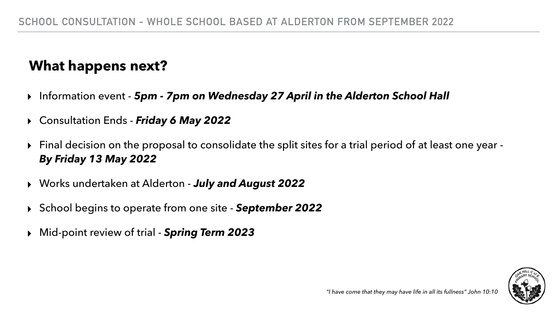### **What happens next?**

▸ Final decision on the proposal to consolidate the split sites for a trial period of at least one year -



- ▸ Information event *5pm 7pm on Wednesday 27 April in the Alderton School Hall*
- ▸ Consultation Ends *Friday 6 May 2022*
- *By Friday 13 May 2022*
- ▸ Works undertaken at Alderton *July and August 2022*
- ▸ School begins to operate from one site *September 2022*
- ▸ Mid-point review of trial *Spring Term 2023*